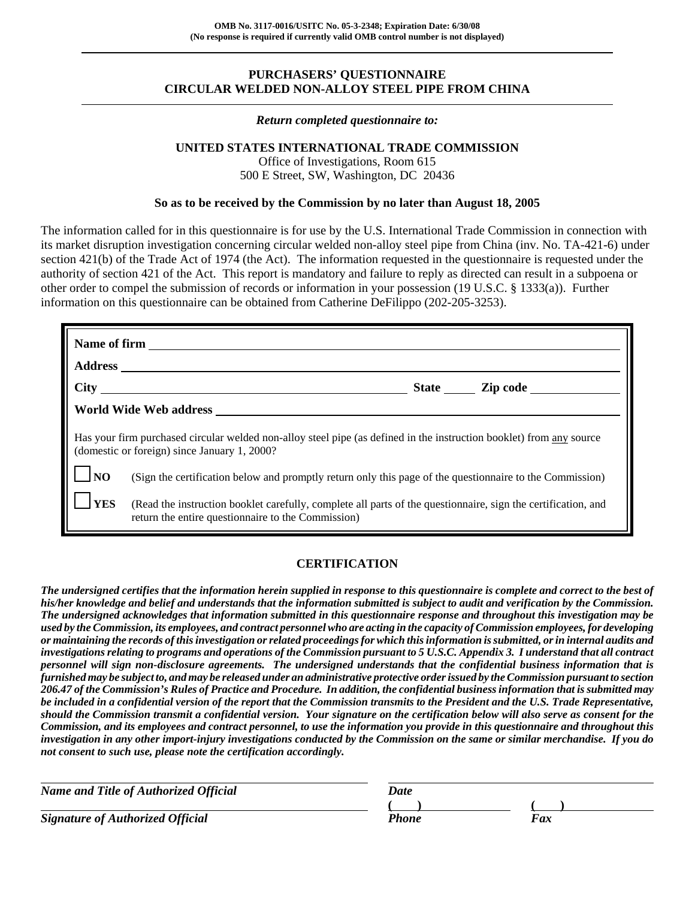# **PURCHASERS' QUESTIONNAIRE CIRCULAR WELDED NON-ALLOY STEEL PIPE FROM CHINA**

#### *Return completed questionnaire to:*

## **UNITED STATES INTERNATIONAL TRADE COMMISSION**

Office of Investigations, Room 615 500 E Street, SW, Washington, DC 20436

## **So as to be received by the Commission by no later than August 18, 2005**

The information called for in this questionnaire is for use by the U.S. International Trade Commission in connection with its market disruption investigation concerning circular welded non-alloy steel pipe from China (inv. No. TA-421-6) under section 421(b) of the Trade Act of 1974 (the Act). The information requested in the questionnaire is requested under the authority of section 421 of the Act. This report is mandatory and failure to reply as directed can result in a subpoena or other order to compel the submission of records or information in your possession (19 U.S.C. § 1333(a)). Further information on this questionnaire can be obtained from Catherine DeFilippo (202-205-3253).

|            | World Wide Web address                                                                                                                                               |  |  |  |  |  |  |  |
|------------|----------------------------------------------------------------------------------------------------------------------------------------------------------------------|--|--|--|--|--|--|--|
|            | Has your firm purchased circular welded non-alloy steel pipe (as defined in the instruction booklet) from any source<br>(domestic or foreign) since January 1, 2000? |  |  |  |  |  |  |  |
| <b>NO</b>  | (Sign the certification below and promptly return only this page of the questionnaire to the Commission)                                                             |  |  |  |  |  |  |  |
| <b>YES</b> | (Read the instruction booklet carefully, complete all parts of the questionnaire, sign the certification, and<br>return the entire questionnaire to the Commission)  |  |  |  |  |  |  |  |

# **CERTIFICATION**

*The undersigned certifies that the information herein supplied in response to this questionnaire is complete and correct to the best of his/her knowledge and belief and understands that the information submitted is subject to audit and verification by the Commission. The undersigned acknowledges that information submitted in this questionnaire response and throughout this investigation may be used by the Commission, its employees, and contract personnel who are acting in the capacity of Commission employees, for developing or maintaining the records of this investigation or related proceedings for which this information is submitted, or in internal audits and investigations relating to programs and operations of the Commission pursuant to 5 U.S.C. Appendix 3. I understand that all contract personnel will sign non-disclosure agreements. The undersigned understands that the confidential business information that is furnished may be subject to, and may be released under an administrative protective order issued by the Commission pursuant to section 206.47 of the Commission's Rules of Practice and Procedure. In addition, the confidential business information that is submitted may be included in a confidential version of the report that the Commission transmits to the President and the U.S. Trade Representative, should the Commission transmit a confidential version. Your signature on the certification below will also serve as consent for the Commission, and its employees and contract personnel, to use the information you provide in this questionnaire and throughout this investigation in any other import-injury investigations conducted by the Commission on the same or similar merchandise. If you do not consent to such use, please note the certification accordingly.*

| Name and Title of Authorized Official   | Date  |    |
|-----------------------------------------|-------|----|
|                                         |       |    |
| <b>Signature of Authorized Official</b> | Phone | Fx |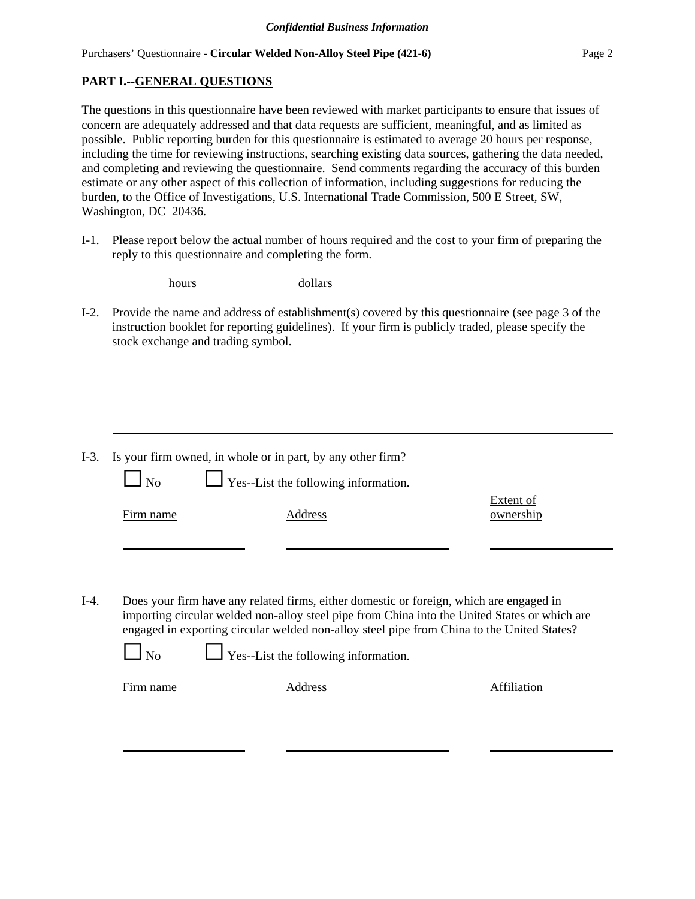# **PART I.--GENERAL QUESTIONS**

The questions in this questionnaire have been reviewed with market participants to ensure that issues of concern are adequately addressed and that data requests are sufficient, meaningful, and as limited as possible. Public reporting burden for this questionnaire is estimated to average 20 hours per response, including the time for reviewing instructions, searching existing data sources, gathering the data needed, and completing and reviewing the questionnaire. Send comments regarding the accuracy of this burden estimate or any other aspect of this collection of information, including suggestions for reducing the burden, to the Office of Investigations, U.S. International Trade Commission, 500 E Street, SW, Washington, DC 20436.

I-1. Please report below the actual number of hours required and the cost to your firm of preparing the reply to this questionnaire and completing the form.

| hours | dollars |
|-------|---------|
|-------|---------|

I-2. Provide the name and address of establishment(s) covered by this questionnaire (see page 3 of the instruction booklet for reporting guidelines). If your firm is publicly traded, please specify the stock exchange and trading symbol.

| Address | Extent of<br>ownership                                                                                                                                                                                                                                                                                                         |
|---------|--------------------------------------------------------------------------------------------------------------------------------------------------------------------------------------------------------------------------------------------------------------------------------------------------------------------------------|
|         |                                                                                                                                                                                                                                                                                                                                |
|         |                                                                                                                                                                                                                                                                                                                                |
|         |                                                                                                                                                                                                                                                                                                                                |
|         |                                                                                                                                                                                                                                                                                                                                |
|         |                                                                                                                                                                                                                                                                                                                                |
|         |                                                                                                                                                                                                                                                                                                                                |
|         | Does your firm have any related firms, either domestic or foreign, which are engaged in<br>importing circular welded non-alloy steel pipe from China into the United States or which are<br>engaged in exporting circular welded non-alloy steel pipe from China to the United States?<br>Yes--List the following information. |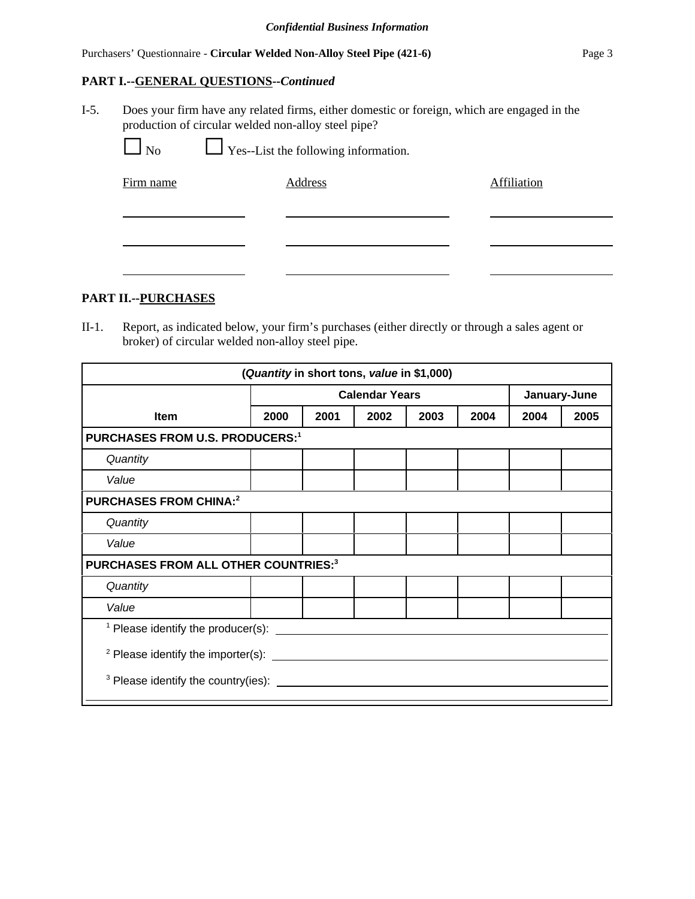# Purchasers' Questionnaire - **Circular Welded Non-Alloy Steel Pipe (421-6)** Page 3

## **PART I.--GENERAL QUESTIONS--***Continued*

I-5. Does your firm have any related firms, either domestic or foreign, which are engaged in the production of circular welded non-alloy steel pipe?

| N <sub>o</sub> | $\Box$ Yes--List the following information. |             |
|----------------|---------------------------------------------|-------------|
| Firm name      | Address                                     | Affiliation |
|                |                                             |             |
|                |                                             |             |

# **PART II.--PURCHASES**

II-1. Report, as indicated below, your firm's purchases (either directly or through a sales agent or broker) of circular welded non-alloy steel pipe.

| (Quantity in short tons, value in \$1,000)          |                                        |                       |      |      |      |              |      |  |  |
|-----------------------------------------------------|----------------------------------------|-----------------------|------|------|------|--------------|------|--|--|
|                                                     |                                        | <b>Calendar Years</b> |      |      |      | January-June |      |  |  |
| Item                                                | 2000                                   | 2001                  | 2002 | 2003 | 2004 | 2004         | 2005 |  |  |
|                                                     | <b>PURCHASES FROM U.S. PRODUCERS:1</b> |                       |      |      |      |              |      |  |  |
| Quantity                                            |                                        |                       |      |      |      |              |      |  |  |
| Value                                               |                                        |                       |      |      |      |              |      |  |  |
| <b>PURCHASES FROM CHINA:2</b>                       |                                        |                       |      |      |      |              |      |  |  |
| Quantity                                            |                                        |                       |      |      |      |              |      |  |  |
| Value                                               |                                        |                       |      |      |      |              |      |  |  |
| PURCHASES FROM ALL OTHER COUNTRIES:3                |                                        |                       |      |      |      |              |      |  |  |
| Quantity                                            |                                        |                       |      |      |      |              |      |  |  |
| Value                                               |                                        |                       |      |      |      |              |      |  |  |
|                                                     |                                        |                       |      |      |      |              |      |  |  |
| $2$ Please identify the importer(s): $\frac{1}{2}$  |                                        |                       |      |      |      |              |      |  |  |
| $3$ Please identify the country(ies): $\frac{1}{2}$ |                                        |                       |      |      |      |              |      |  |  |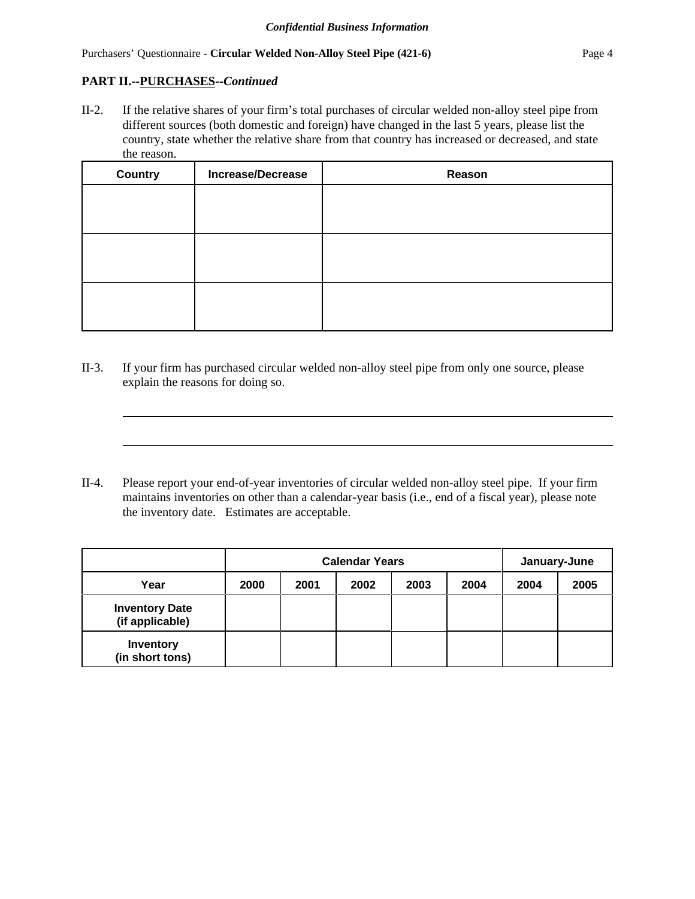# **PART II.--PURCHASES--***Continued*

II-2. If the relative shares of your firm's total purchases of circular welded non-alloy steel pipe from different sources (both domestic and foreign) have changed in the last 5 years, please list the country, state whether the relative share from that country has increased or decreased, and state the reason.

| <b>Country</b> | <b>Increase/Decrease</b> | Reason |
|----------------|--------------------------|--------|
|                |                          |        |
|                |                          |        |
|                |                          |        |
|                |                          |        |
|                |                          |        |
|                |                          |        |

- II-3. If your firm has purchased circular welded non-alloy steel pipe from only one source, please explain the reasons for doing so.
- II-4. Please report your end-of-year inventories of circular welded non-alloy steel pipe. If your firm maintains inventories on other than a calendar-year basis (i.e., end of a fiscal year), please note the inventory date. Estimates are acceptable.

|                                          | <b>Calendar Years</b> |      |      |      |      | January-June |      |
|------------------------------------------|-----------------------|------|------|------|------|--------------|------|
| Year                                     | 2000                  | 2001 | 2002 | 2003 | 2004 | 2004         | 2005 |
| <b>Inventory Date</b><br>(if applicable) |                       |      |      |      |      |              |      |
| <b>Inventory</b><br>(in short tons)      |                       |      |      |      |      |              |      |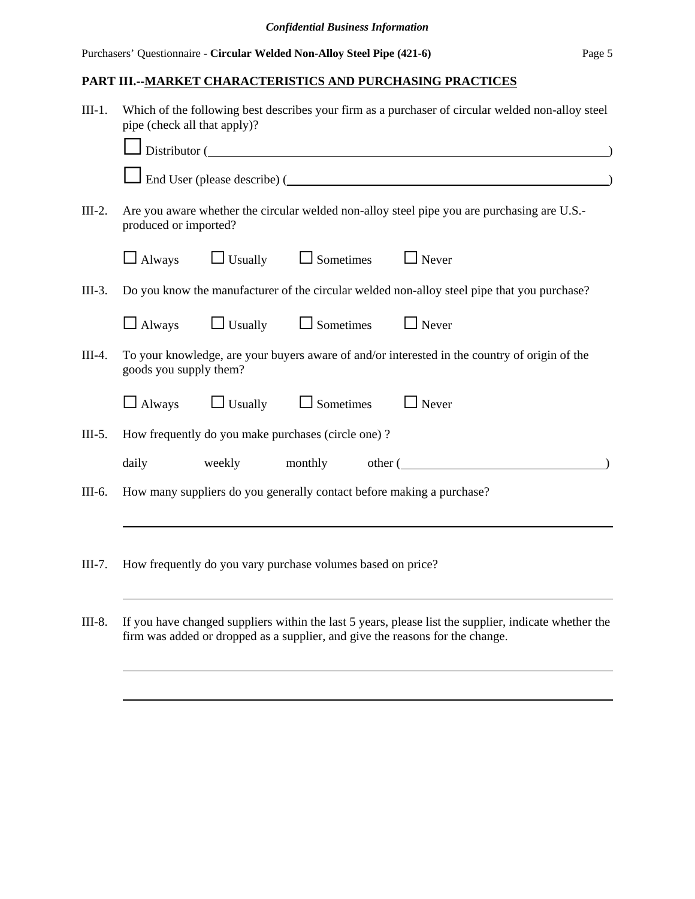# **PART III.--MARKET CHARACTERISTICS AND PURCHASING PRACTICES**

| $III-1.$ | Which of the following best describes your firm as a purchaser of circular welded non-alloy steel<br>pipe (check all that apply)? |  |                                                             |  |                                                                                                                                                                                                                               |  |  |
|----------|-----------------------------------------------------------------------------------------------------------------------------------|--|-------------------------------------------------------------|--|-------------------------------------------------------------------------------------------------------------------------------------------------------------------------------------------------------------------------------|--|--|
|          |                                                                                                                                   |  |                                                             |  | Distributor (Change and Change and Change and Change and Change and Change and Change and Change and Change and Change and Change and Change and Change and Change and Change and Change and Change and Change and Change and |  |  |
|          |                                                                                                                                   |  |                                                             |  | End User (please describe) (                                                                                                                                                                                                  |  |  |
| $III-2.$ | produced or imported?                                                                                                             |  |                                                             |  | Are you aware whether the circular welded non-alloy steel pipe you are purchasing are U.S.-                                                                                                                                   |  |  |
|          | $\Box$ Always                                                                                                                     |  | $\Box$ Usually $\Box$ Sometimes $\Box$ Never                |  |                                                                                                                                                                                                                               |  |  |
| $III-3.$ |                                                                                                                                   |  |                                                             |  | Do you know the manufacturer of the circular welded non-alloy steel pipe that you purchase?                                                                                                                                   |  |  |
|          |                                                                                                                                   |  | $\Box$ Always $\Box$ Usually $\Box$ Sometimes $\Box$ Never  |  |                                                                                                                                                                                                                               |  |  |
| $III-4.$ | goods you supply them?                                                                                                            |  |                                                             |  | To your knowledge, are your buyers aware of and/or interested in the country of origin of the                                                                                                                                 |  |  |
|          |                                                                                                                                   |  | $\Box$ Always $\Box$ Usually $\Box$ Sometimes               |  | $\Box$ Never                                                                                                                                                                                                                  |  |  |
| $III-5.$ |                                                                                                                                   |  | How frequently do you make purchases (circle one)?          |  |                                                                                                                                                                                                                               |  |  |
|          | daily                                                                                                                             |  |                                                             |  | weekly monthly other (                                                                                                                                                                                                        |  |  |
| III-6.   | How many suppliers do you generally contact before making a purchase?                                                             |  |                                                             |  |                                                                                                                                                                                                                               |  |  |
|          |                                                                                                                                   |  |                                                             |  |                                                                                                                                                                                                                               |  |  |
| $III-7.$ |                                                                                                                                   |  | How frequently do you vary purchase volumes based on price? |  |                                                                                                                                                                                                                               |  |  |

III-8. If you have changed suppliers within the last 5 years, please list the supplier, indicate whether the firm was added or dropped as a supplier, and give the reasons for the change.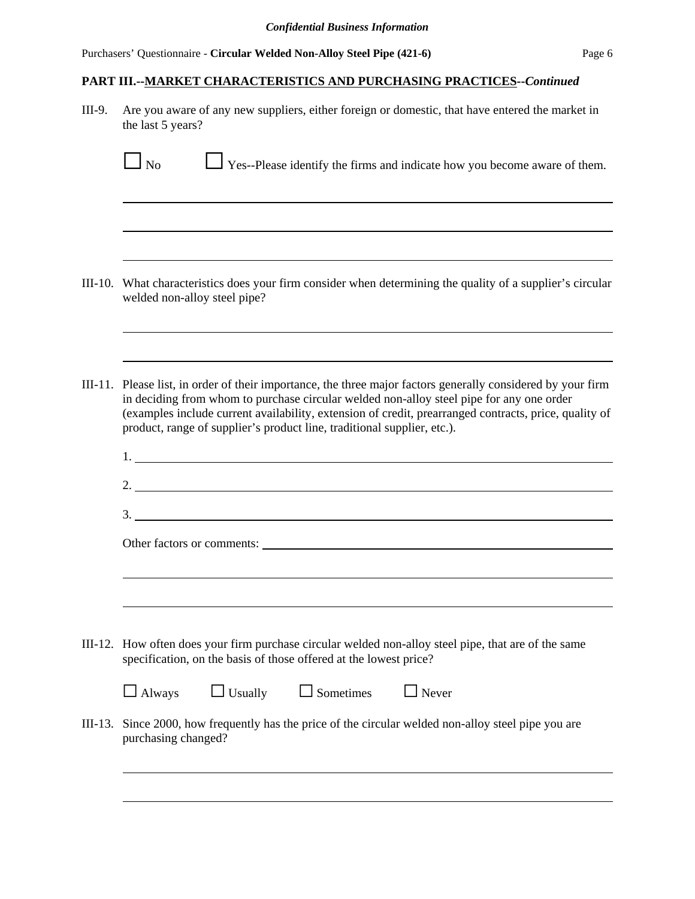Purchasers' Questionnaire - **Circular Welded Non-Alloy Steel Pipe (421-6)** Page 6

# **PART III.--MARKET CHARACTERISTICS AND PURCHASING PRACTICES--***Continued*

III-9. Are you aware of any new suppliers, either foreign or domestic, that have entered the market in the last 5 years?

|         | $\mathsf{l}\ \mathsf{No}$                                                                                                                                                 | Yes--Please identify the firms and indicate how you become aware of them.                                                                                                                                                                                                                                                                                                            |  |  |  |  |  |  |
|---------|---------------------------------------------------------------------------------------------------------------------------------------------------------------------------|--------------------------------------------------------------------------------------------------------------------------------------------------------------------------------------------------------------------------------------------------------------------------------------------------------------------------------------------------------------------------------------|--|--|--|--|--|--|
|         |                                                                                                                                                                           |                                                                                                                                                                                                                                                                                                                                                                                      |  |  |  |  |  |  |
| III-10. | welded non-alloy steel pipe?                                                                                                                                              | What characteristics does your firm consider when determining the quality of a supplier's circular                                                                                                                                                                                                                                                                                   |  |  |  |  |  |  |
| III-11. |                                                                                                                                                                           | Please list, in order of their importance, the three major factors generally considered by your firm<br>in deciding from whom to purchase circular welded non-alloy steel pipe for any one order<br>(examples include current availability, extension of credit, prearranged contracts, price, quality of<br>product, range of supplier's product line, traditional supplier, etc.). |  |  |  |  |  |  |
|         | 2. $\overline{\phantom{a}}$<br>3.                                                                                                                                         |                                                                                                                                                                                                                                                                                                                                                                                      |  |  |  |  |  |  |
|         | Other factors or comments:                                                                                                                                                |                                                                                                                                                                                                                                                                                                                                                                                      |  |  |  |  |  |  |
|         | III-12. How often does your firm purchase circular welded non-alloy steel pipe, that are of the same<br>specification, on the basis of those offered at the lowest price? |                                                                                                                                                                                                                                                                                                                                                                                      |  |  |  |  |  |  |
|         | $\Box$ Usually<br>$\Box$ Sometimes<br>$\Box$ Always                                                                                                                       | $\Box$ Never                                                                                                                                                                                                                                                                                                                                                                         |  |  |  |  |  |  |
| III-13. | purchasing changed?                                                                                                                                                       | Since 2000, how frequently has the price of the circular welded non-alloy steel pipe you are                                                                                                                                                                                                                                                                                         |  |  |  |  |  |  |
|         |                                                                                                                                                                           |                                                                                                                                                                                                                                                                                                                                                                                      |  |  |  |  |  |  |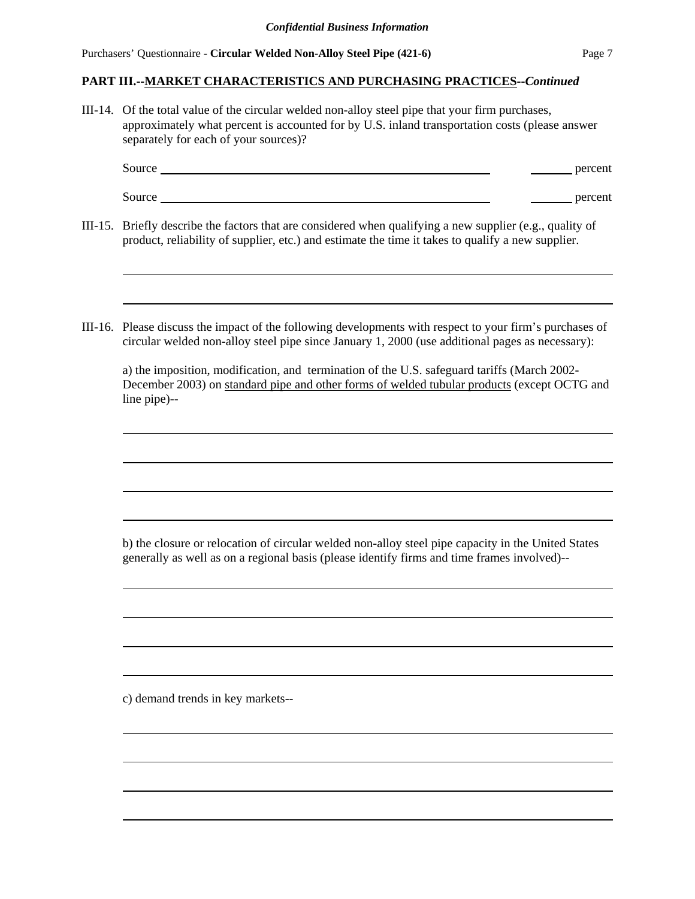#### **PART III.--MARKET CHARACTERISTICS AND PURCHASING PRACTICES--***Continued*

III-14. Of the total value of the circular welded non-alloy steel pipe that your firm purchases, approximately what percent is accounted for by U.S. inland transportation costs (please answer separately for each of your sources)?

| Source | percent |
|--------|---------|
|        |         |
| Source | percent |

- III-15. Briefly describe the factors that are considered when qualifying a new supplier (e.g., quality of product, reliability of supplier, etc.) and estimate the time it takes to qualify a new supplier.
- III-16. Please discuss the impact of the following developments with respect to your firm's purchases of circular welded non-alloy steel pipe since January 1, 2000 (use additional pages as necessary):

a) the imposition, modification, and termination of the U.S. safeguard tariffs (March 2002- December 2003) on standard pipe and other forms of welded tubular products (except OCTG and line pipe)--

b) the closure or relocation of circular welded non-alloy steel pipe capacity in the United States generally as well as on a regional basis (please identify firms and time frames involved)--

c) demand trends in key markets--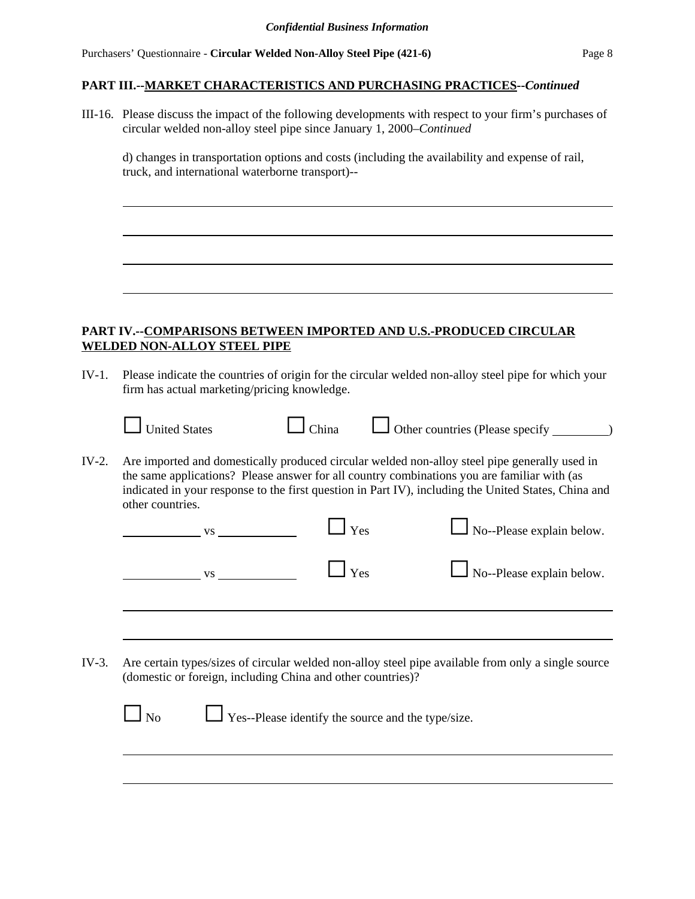#### **PART III.--MARKET CHARACTERISTICS AND PURCHASING PRACTICES--***Continued*

III-16. Please discuss the impact of the following developments with respect to your firm's purchases of circular welded non-alloy steel pipe since January 1, 2000–*Continued*

d) changes in transportation options and costs (including the availability and expense of rail, truck, and international waterborne transport)--

# **PART IV.--COMPARISONS BETWEEN IMPORTED AND U.S.-PRODUCED CIRCULAR WELDED NON-ALLOY STEEL PIPE**

IV-1. Please indicate the countries of origin for the circular welded non-alloy steel pipe for which your firm has actual marketing/pricing knowledge.

|       | <b>United States</b>                                                                                            | China |                                                    | $\Box$ Other countries (Please specify $\Box$ )                                                                                                                                                       |  |
|-------|-----------------------------------------------------------------------------------------------------------------|-------|----------------------------------------------------|-------------------------------------------------------------------------------------------------------------------------------------------------------------------------------------------------------|--|
| IV-2. | the same applications? Please answer for all country combinations you are familiar with (as<br>other countries. |       |                                                    | Are imported and domestically produced circular welded non-alloy steel pipe generally used in<br>indicated in your response to the first question in Part IV), including the United States, China and |  |
|       | <b>VS</b>                                                                                                       |       | <b>Yes</b>                                         | $\Box$ No--Please explain below.                                                                                                                                                                      |  |
|       | <b>VS</b>                                                                                                       |       | $\mathbf{I}$ Yes                                   | No--Please explain below.                                                                                                                                                                             |  |
|       |                                                                                                                 |       |                                                    |                                                                                                                                                                                                       |  |
|       |                                                                                                                 |       |                                                    |                                                                                                                                                                                                       |  |
| IV-3. | (domestic or foreign, including China and other countries)?                                                     |       |                                                    | Are certain types/sizes of circular welded non-alloy steel pipe available from only a single source                                                                                                   |  |
|       | No                                                                                                              |       | Yes--Please identify the source and the type/size. |                                                                                                                                                                                                       |  |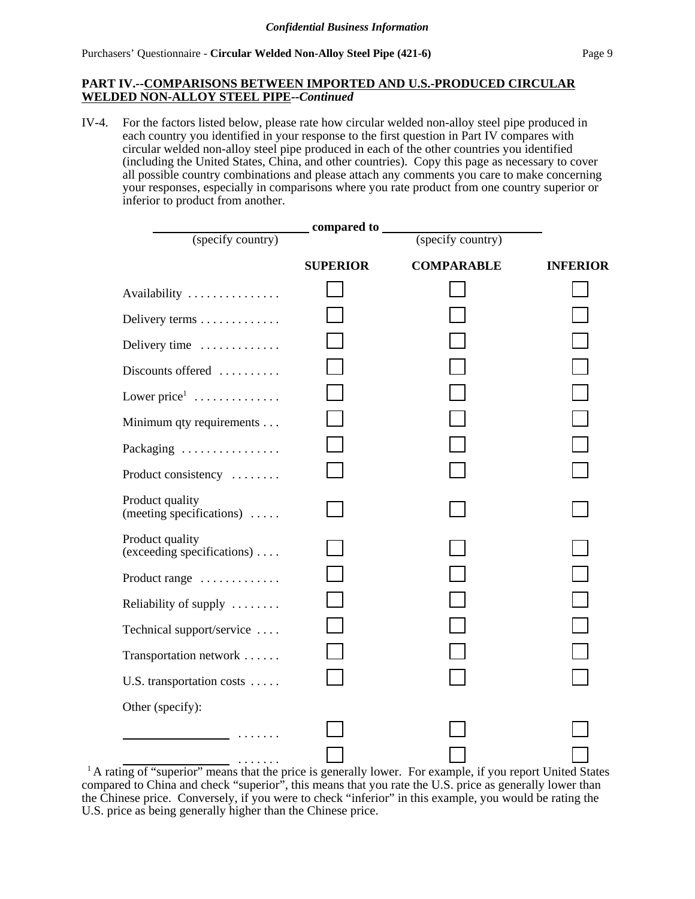#### **PART IV.--COMPARISONS BETWEEN IMPORTED AND U.S.-PRODUCED CIRCULAR WELDED NON-ALLOY STEEL PIPE--***Continued*

IV-4. For the factors listed below, please rate how circular welded non-alloy steel pipe produced in each country you identified in your response to the first question in Part IV compares with circular welded non-alloy steel pipe produced in each of the other countries you identified (including the United States, China, and other countries). Copy this page as necessary to cover all possible country combinations and please attach any comments you care to make concerning your responses, especially in comparisons where you rate product from one country superior or inferior to product from another.

| compared to ______                                    |                 |                   |                 |  |  |
|-------------------------------------------------------|-----------------|-------------------|-----------------|--|--|
| (specify country)                                     |                 | (specify country) |                 |  |  |
|                                                       | <b>SUPERIOR</b> | <b>COMPARABLE</b> | <b>INFERIOR</b> |  |  |
| Availability                                          |                 |                   |                 |  |  |
| Delivery terms                                        |                 |                   |                 |  |  |
| Delivery time                                         |                 |                   |                 |  |  |
| Discounts offered                                     |                 |                   |                 |  |  |
| Lower price <sup>1</sup>                              |                 |                   |                 |  |  |
| Minimum qty requirements                              |                 |                   |                 |  |  |
| Packaging                                             |                 |                   |                 |  |  |
| Product consistency                                   |                 |                   |                 |  |  |
| Product quality<br>(meeting specifications) $\dots$ . |                 |                   |                 |  |  |
| Product quality<br>(exceeding specifications)         |                 |                   |                 |  |  |
| Product range                                         |                 |                   |                 |  |  |
| Reliability of supply                                 |                 |                   |                 |  |  |
| Technical support/service                             |                 |                   |                 |  |  |
| Transportation network                                |                 |                   |                 |  |  |
| U.S. transportation costs                             |                 |                   |                 |  |  |
| Other (specify):                                      |                 |                   |                 |  |  |
|                                                       |                 |                   |                 |  |  |
| .                                                     |                 |                   |                 |  |  |

<sup>&</sup>lt;sup>1</sup> A rating of "superior" means that the price is generally lower. For example, if you report United States compared to China and check "superior", this means that you rate the U.S. price as generally lower than the Chinese price. Conversely, if you were to check "inferior" in this example, you would be rating the U.S. price as being generally higher than the Chinese price.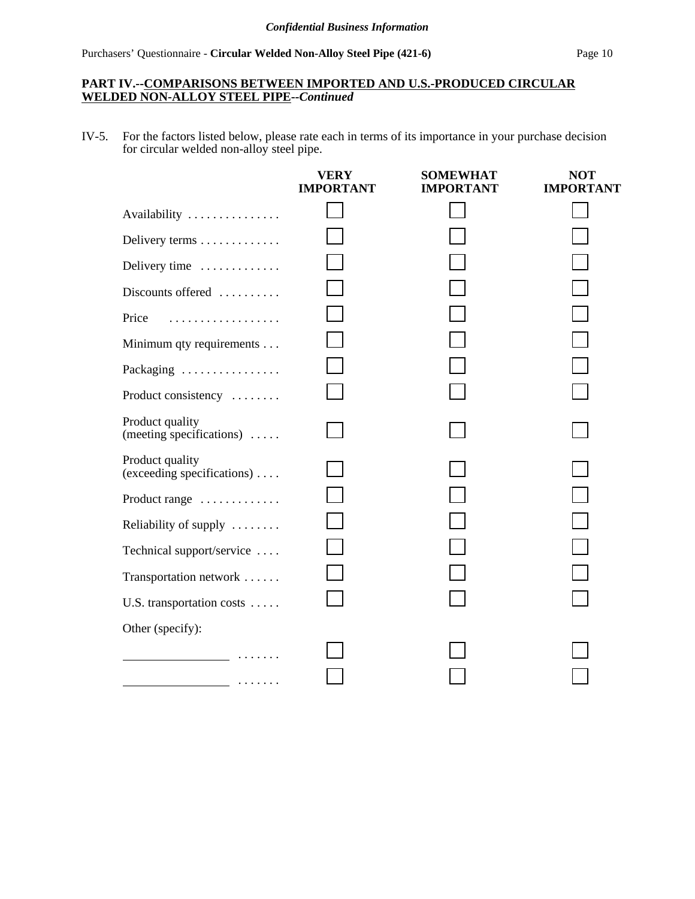# **PART IV.--COMPARISONS BETWEEN IMPORTED AND U.S.-PRODUCED CIRCULAR WELDED NON-ALLOY STEEL PIPE--***Continued*

IV-5. For the factors listed below, please rate each in terms of its importance in your purchase decision for circular welded non-alloy steel pipe.

|                                               | <b>VERY</b><br><b>IMPORTANT</b> | <b>SOMEWHAT</b><br><b>IMPORTANT</b> | <b>NOT</b><br><b>IMPORTANT</b> |
|-----------------------------------------------|---------------------------------|-------------------------------------|--------------------------------|
| Availability                                  |                                 |                                     |                                |
| Delivery terms                                |                                 |                                     |                                |
| Delivery time                                 |                                 |                                     |                                |
| Discounts offered                             |                                 |                                     |                                |
| Price<br>.                                    |                                 |                                     |                                |
| Minimum qty requirements                      |                                 |                                     |                                |
| Packaging                                     |                                 |                                     |                                |
| Product consistency                           |                                 |                                     |                                |
| Product quality<br>(meeting specifications)   |                                 |                                     |                                |
| Product quality<br>(exceeding specifications) |                                 |                                     |                                |
| Product range                                 |                                 |                                     |                                |
| Reliability of supply                         |                                 |                                     |                                |
| Technical support/service                     |                                 |                                     |                                |
| Transportation network                        |                                 |                                     |                                |
| U.S. transportation costs                     |                                 |                                     |                                |
| Other (specify):                              |                                 |                                     |                                |
|                                               |                                 |                                     |                                |
|                                               |                                 |                                     |                                |